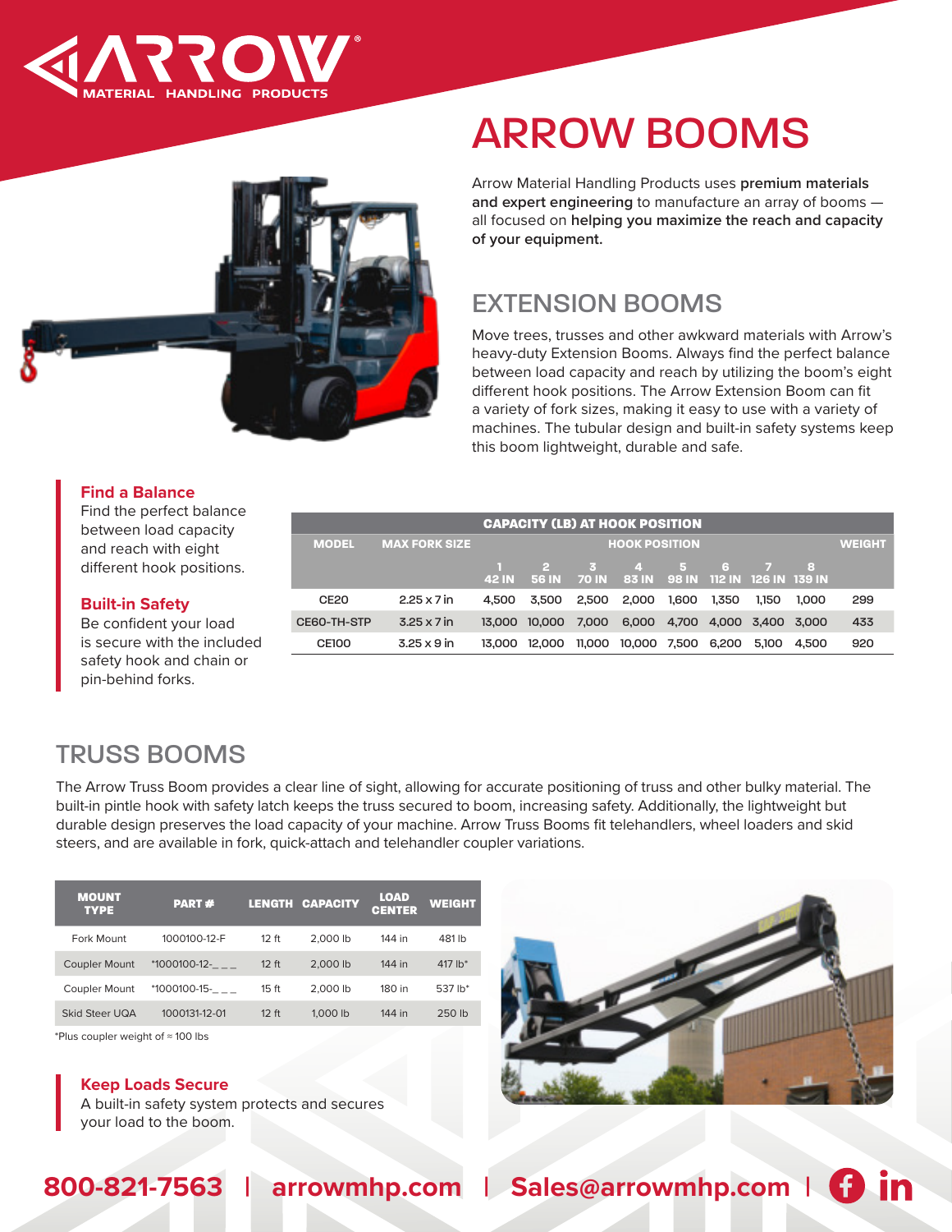



# ARROW BOOMS

Arrow Material Handling Products uses **premium materials and expert engineering** to manufacture an array of booms all focused on **helping you maximize the reach and capacity of your equipment.**

## EXTENSION BOOMS

Move trees, trusses and other awkward materials with Arrow's heavy-duty Extension Booms. Always find the perfect balance between load capacity and reach by utilizing the boom's eight different hook positions. The Arrow Extension Boom can fit a variety of fork sizes, making it easy to use with a variety of machines. The tubular design and built-in safety systems keep this boom lightweight, durable and safe.

#### **Find a Balance**

Find the perfect balance between load capacity and reach with eight different hook positions.

| <b>CAPACITY (LB) AT HOOK POSITION</b> |                      |                      |        |       |                                                           |       |               |                   |       |     |
|---------------------------------------|----------------------|----------------------|--------|-------|-----------------------------------------------------------|-------|---------------|-------------------|-------|-----|
| <b>MODEL</b>                          | <b>MAX FORK SIZE</b> | <b>HOOK POSITION</b> |        |       |                                                           |       | <b>WEIGHT</b> |                   |       |     |
|                                       |                      | <b>42 IN</b>         |        |       | 2 3 4 5 6<br>56 IN 70 IN 83 IN 98 IN 112 IN 126 IN 139 IN |       |               |                   | 8     |     |
| CE <sub>20</sub>                      | $2.25 \times 7$ in   | 4.500                | 3.500  | 2.500 | 2.000                                                     | 1.600 | 1.350         | 1.150             | 1.000 | 299 |
| CE60-TH-STP                           | $3.25 \times 7$ in   | 13.000               | 10,000 | 7.000 | 6,000 4,700                                               |       |               | 4,000 3,400 3,000 |       | 433 |
| <b>CE100</b>                          | $3.25 \times 9$ in   | 13.000               | 12.000 |       | 11,000 10,000 7,500 6,200                                 |       |               | 5.100             | 4.500 | 920 |

#### **Built-in Safety** Be confident your load

is secure with the included safety hook and chain or pin-behind forks.

## TRUSS BOOMS

The Arrow Truss Boom provides a clear line of sight, allowing for accurate positioning of truss and other bulky material. The built-in pintle hook with safety latch keeps the truss secured to boom, increasing safety. Additionally, the lightweight but durable design preserves the load capacity of your machine. Arrow Truss Booms fit telehandlers, wheel loaders and skid steers, and are available in fork, quick-attach and telehandler coupler variations.

| <b>MOUNT</b><br><b>TYPE</b> | <b>PART#</b>  |                  | <b>LENGTH CAPACITY</b> | <b>LOAD</b><br><b>CENTER</b> | <b>WEIGHT</b> |
|-----------------------------|---------------|------------------|------------------------|------------------------------|---------------|
| Fork Mount                  | 1000100-12-F  | 12 ft            | 2.000 lb               | 144 in                       | 481 lb        |
| <b>Coupler Mount</b>        | *1000100-12-  | 12 ft            | 2,000 lb               | 144 in                       | 417 $lb*$     |
| Coupler Mount               | *1000100-15-  | 15 <sub>ft</sub> | 2.000 lb               | 180 in                       | 537 lb*       |
| Skid Steer UQA              | 1000131-12-01 | 12 ft            | 1,000 lb               | 144 in                       | 250 lb        |

\*Plus coupler weight of ≈ 100 lbs

#### **Keep Loads Secure**

A built-in safety system protects and secures your load to the boom.